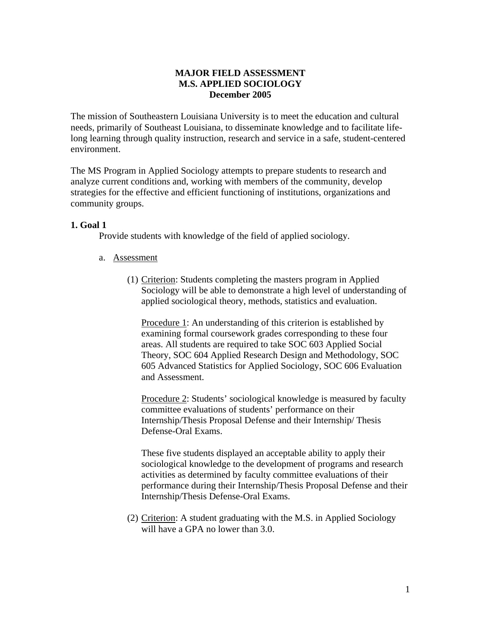## **MAJOR FIELD ASSESSMENT M.S. APPLIED SOCIOLOGY December 2005**

The mission of Southeastern Louisiana University is to meet the education and cultural needs, primarily of Southeast Louisiana, to disseminate knowledge and to facilitate lifelong learning through quality instruction, research and service in a safe, student-centered environment.

The MS Program in Applied Sociology attempts to prepare students to research and analyze current conditions and, working with members of the community, develop strategies for the effective and efficient functioning of institutions, organizations and community groups.

## **1. Goal 1**

Provide students with knowledge of the field of applied sociology.

- a. Assessment
	- (1) Criterion: Students completing the masters program in Applied Sociology will be able to demonstrate a high level of understanding of applied sociological theory, methods, statistics and evaluation.

Procedure 1: An understanding of this criterion is established by examining formal coursework grades corresponding to these four areas. All students are required to take SOC 603 Applied Social Theory, SOC 604 Applied Research Design and Methodology, SOC 605 Advanced Statistics for Applied Sociology, SOC 606 Evaluation and Assessment.

Procedure 2: Students' sociological knowledge is measured by faculty committee evaluations of students' performance on their Internship/Thesis Proposal Defense and their Internship/ Thesis Defense-Oral Exams.

These five students displayed an acceptable ability to apply their sociological knowledge to the development of programs and research activities as determined by faculty committee evaluations of their performance during their Internship/Thesis Proposal Defense and their Internship/Thesis Defense-Oral Exams.

(2) Criterion: A student graduating with the M.S. in Applied Sociology will have a GPA no lower than 3.0.